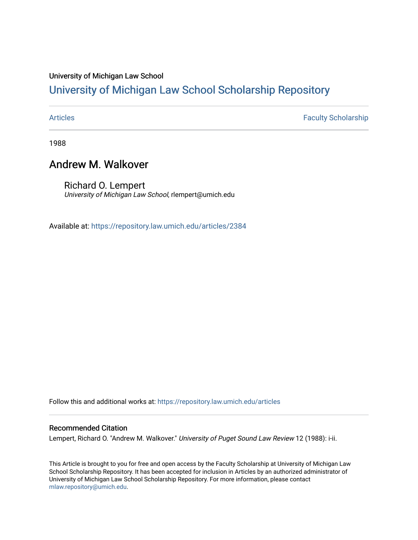## University of Michigan Law School

# [University of Michigan Law School Scholarship Repository](https://repository.law.umich.edu/)

[Articles](https://repository.law.umich.edu/articles) **Faculty Scholarship** 

1988

## Andrew M. Walkover

Richard O. Lempert University of Michigan Law School, rlempert@umich.edu

Available at: <https://repository.law.umich.edu/articles/2384>

Follow this and additional works at: [https://repository.law.umich.edu/articles](https://repository.law.umich.edu/articles?utm_source=repository.law.umich.edu%2Farticles%2F2384&utm_medium=PDF&utm_campaign=PDFCoverPages) 

### Recommended Citation

Lempert, Richard O. "Andrew M. Walkover." University of Puget Sound Law Review 12 (1988): i-ii.

This Article is brought to you for free and open access by the Faculty Scholarship at University of Michigan Law School Scholarship Repository. It has been accepted for inclusion in Articles by an authorized administrator of University of Michigan Law School Scholarship Repository. For more information, please contact [mlaw.repository@umich.edu.](mailto:mlaw.repository@umich.edu)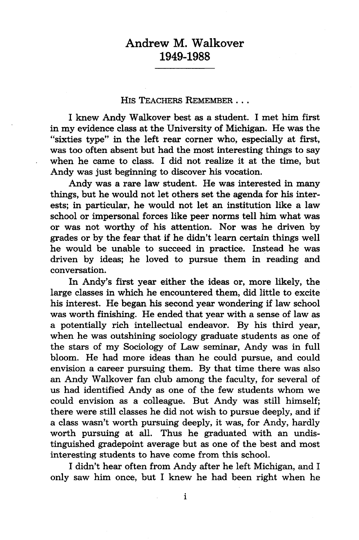## Andrew M. Walkover **1949-1988**

#### His TEACHERS REMEMBER **...**

I knew Andy Walkover best as a student. I met him first in my evidence class at the University of Michigan. He was the "sixties type" in the left rear corner who, especially at first, was too often absent but had the most interesting things to say when he came to class. I did not realize it at the time, but Andy was just beginning to discover his vocation.

Andy was a rare law student. He was interested in many things, but he would not let others set the agenda for his interests; in particular, he would not let an institution like a law school or impersonal forces like peer norms tell him what was or was not worthy of his attention. Nor was he driven by grades or by the fear that if he didn't learn certain things well he would be unable to succeed in practice. Instead he was driven by ideas; he loved to pursue them in reading and conversation.

In Andy's first year either the ideas or, more likely, the large classes in which he encountered them, did little to excite his interest. He began his second year wondering if law school was worth finishing. He ended that year with a sense of law as a potentially rich intellectual endeavor. By his third year, when he was outshining sociology graduate students as one of the stars of my Sociology of Law seminar, Andy was in full bloom. He had more ideas than he could pursue, and could envision a career pursuing them. By that time there was also an Andy Walkover fan club among the faculty, for several of us had identified Andy as one of the few students whom we could envision as a colleague. But Andy was still himself; there were still classes he did not wish to pursue deeply, and if a class wasn't worth pursuing deeply, it was, for Andy, hardly worth pursuing at all. Thus he graduated with an undistinguished gradepoint average but as one of the best and most interesting students to have come from this school.

I didn't hear often from Andy after he left Michigan, and I only saw him once, but I knew he had been right when he

 $\mathbf{i}$